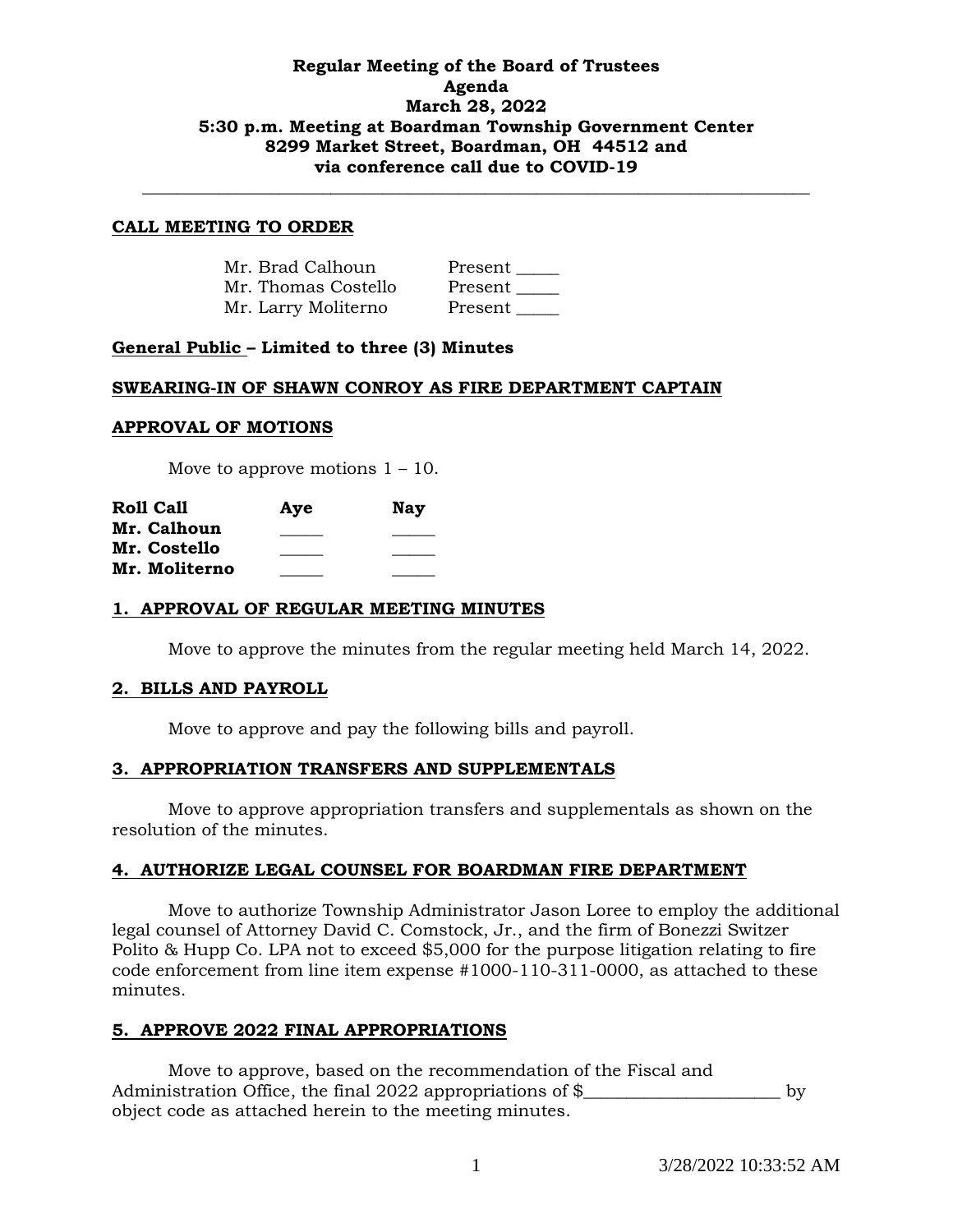# **Regular Meeting of the Board of Trustees Agenda March 28, 2022 5:30 p.m. Meeting at Boardman Township Government Center 8299 Market Street, Boardman, OH 44512 and via conference call due to COVID-19**

**\_\_\_\_\_\_\_\_\_\_\_\_\_\_\_\_\_\_\_\_\_\_\_\_\_\_\_\_\_\_\_\_\_\_\_\_\_\_\_\_\_\_\_\_\_\_\_\_\_\_\_\_\_\_\_\_\_\_\_\_\_\_\_\_\_\_\_\_\_\_\_\_\_\_\_\_\_\_**

### **CALL MEETING TO ORDER**

| Mr. Brad Calhoun    | Present |
|---------------------|---------|
| Mr. Thomas Costello | Present |
| Mr. Larry Moliterno | Present |

# **General Public – Limited to three (3) Minutes**

#### **SWEARING-IN OF SHAWN CONROY AS FIRE DEPARTMENT CAPTAIN**

#### **APPROVAL OF MOTIONS**

Move to approve motions  $1 - 10$ .

| <b>Roll Call</b> | Aye | Nav |
|------------------|-----|-----|
| Mr. Calhoun      |     |     |
| Mr. Costello     |     |     |
| Mr. Moliterno    |     |     |

#### **1. APPROVAL OF REGULAR MEETING MINUTES**

Move to approve the minutes from the regular meeting held March 14, 2022.

#### **2. BILLS AND PAYROLL**

Move to approve and pay the following bills and payroll.

### **3. APPROPRIATION TRANSFERS AND SUPPLEMENTALS**

Move to approve appropriation transfers and supplementals as shown on the resolution of the minutes.

#### **4. AUTHORIZE LEGAL COUNSEL FOR BOARDMAN FIRE DEPARTMENT**

Move to authorize Township Administrator Jason Loree to employ the additional legal counsel of Attorney David C. Comstock, Jr., and the firm of Bonezzi Switzer Polito & Hupp Co. LPA not to exceed \$5,000 for the purpose litigation relating to fire code enforcement from line item expense #1000-110-311-0000, as attached to these minutes.

#### **5. APPROVE 2022 FINAL APPROPRIATIONS**

Move to approve, based on the recommendation of the Fiscal and Administration Office, the final 2022 appropriations of \$ object code as attached herein to the meeting minutes.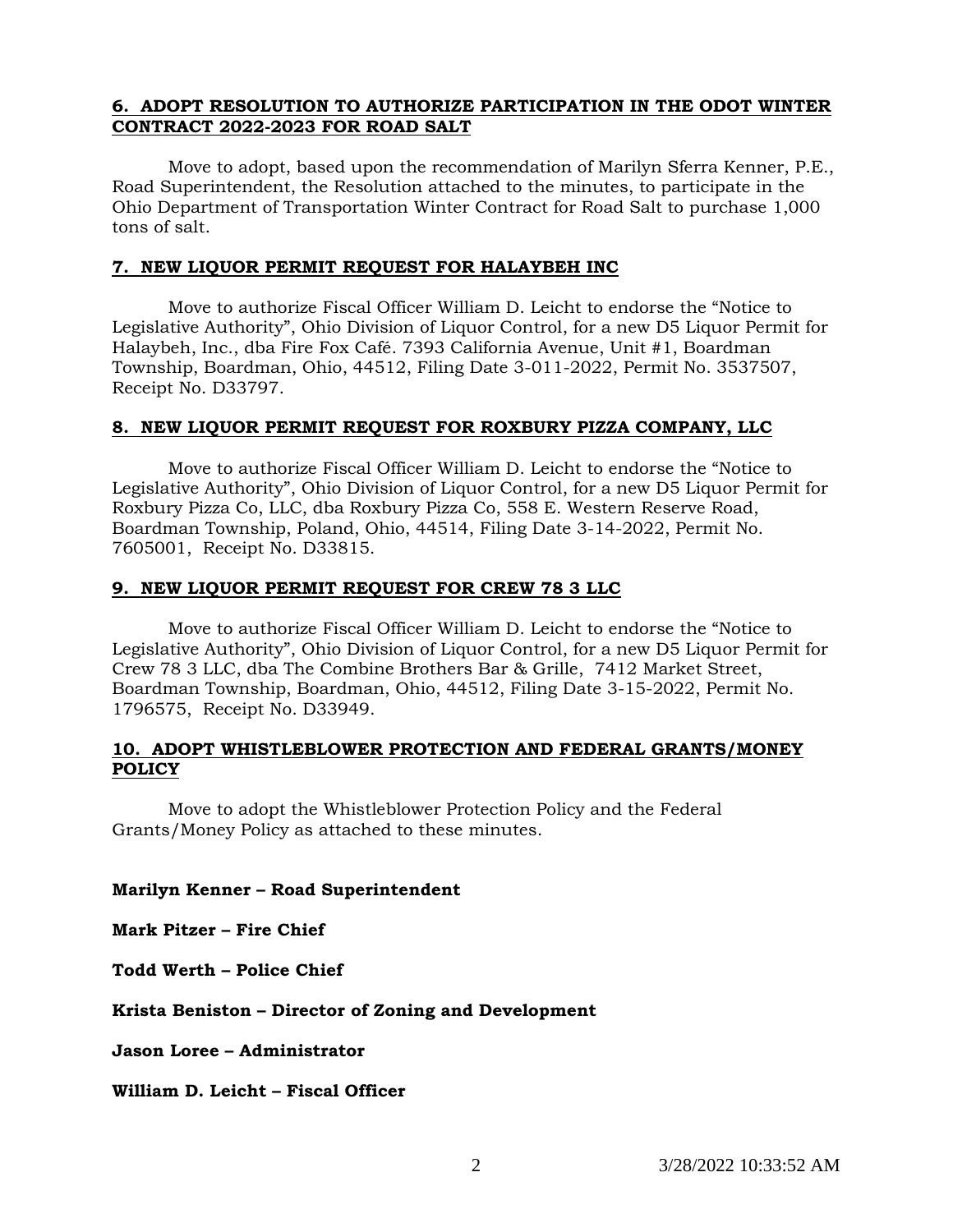# **6. ADOPT RESOLUTION TO AUTHORIZE PARTICIPATION IN THE ODOT WINTER CONTRACT 2022-2023 FOR ROAD SALT**

Move to adopt, based upon the recommendation of Marilyn Sferra Kenner, P.E., Road Superintendent, the Resolution attached to the minutes, to participate in the Ohio Department of Transportation Winter Contract for Road Salt to purchase 1,000 tons of salt.

### **7. NEW LIQUOR PERMIT REQUEST FOR HALAYBEH INC**

Move to authorize Fiscal Officer William D. Leicht to endorse the "Notice to Legislative Authority", Ohio Division of Liquor Control, for a new D5 Liquor Permit for Halaybeh, Inc., dba Fire Fox Café. 7393 California Avenue, Unit #1, Boardman Township, Boardman, Ohio, 44512, Filing Date 3-011-2022, Permit No. 3537507, Receipt No. D33797.

# **8. NEW LIQUOR PERMIT REQUEST FOR ROXBURY PIZZA COMPANY, LLC**

Move to authorize Fiscal Officer William D. Leicht to endorse the "Notice to Legislative Authority", Ohio Division of Liquor Control, for a new D5 Liquor Permit for Roxbury Pizza Co, LLC, dba Roxbury Pizza Co, 558 E. Western Reserve Road, Boardman Township, Poland, Ohio, 44514, Filing Date 3-14-2022, Permit No. 7605001, Receipt No. D33815.

# **9. NEW LIQUOR PERMIT REQUEST FOR CREW 78 3 LLC**

Move to authorize Fiscal Officer William D. Leicht to endorse the "Notice to Legislative Authority", Ohio Division of Liquor Control, for a new D5 Liquor Permit for Crew 78 3 LLC, dba The Combine Brothers Bar & Grille, 7412 Market Street, Boardman Township, Boardman, Ohio, 44512, Filing Date 3-15-2022, Permit No. 1796575, Receipt No. D33949.

# **10. ADOPT WHISTLEBLOWER PROTECTION AND FEDERAL GRANTS/MONEY POLICY**

Move to adopt the Whistleblower Protection Policy and the Federal Grants/Money Policy as attached to these minutes.

# **Marilyn Kenner – Road Superintendent**

**Mark Pitzer – Fire Chief**

**Todd Werth – Police Chief**

**Krista Beniston – Director of Zoning and Development**

**Jason Loree – Administrator**

**William D. Leicht – Fiscal Officer**